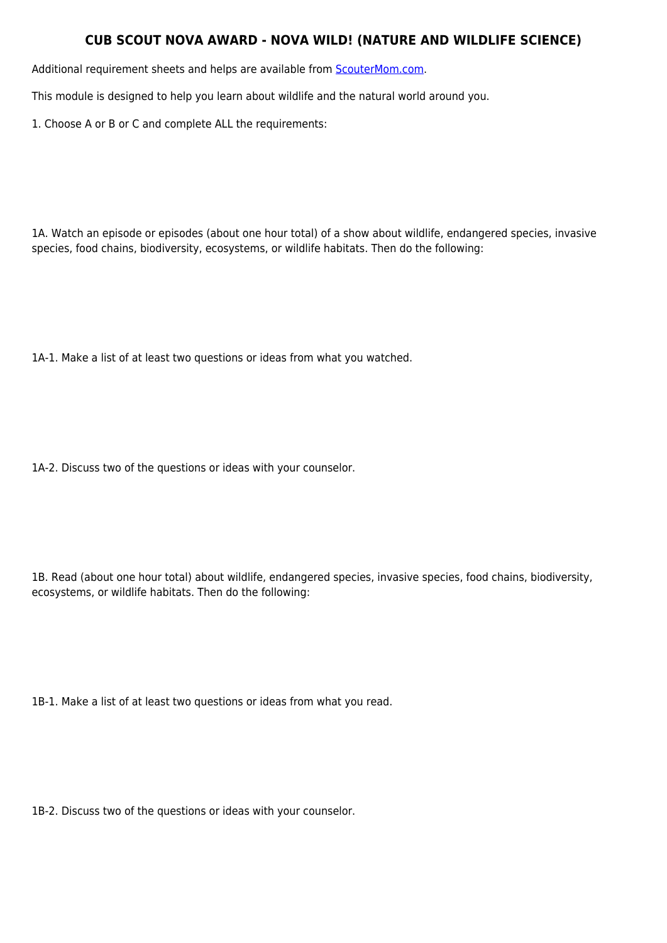## **CUB SCOUT NOVA AWARD - NOVA WILD! (NATURE AND WILDLIFE SCIENCE)**

Additional requirement sheets and helps are available from [ScouterMom.com](http://scoutermom.com).

This module is designed to help you learn about wildlife and the natural world around you.

1. Choose A or B or C and complete ALL the requirements:

1A. Watch an episode or episodes (about one hour total) of a show about wildlife, endangered species, invasive species, food chains, biodiversity, ecosystems, or wildlife habitats. Then do the following:

1A-1. Make a list of at least two questions or ideas from what you watched.

1A-2. Discuss two of the questions or ideas with your counselor.

1B. Read (about one hour total) about wildlife, endangered species, invasive species, food chains, biodiversity, ecosystems, or wildlife habitats. Then do the following:

1B-1. Make a list of at least two questions or ideas from what you read.

1B-2. Discuss two of the questions or ideas with your counselor.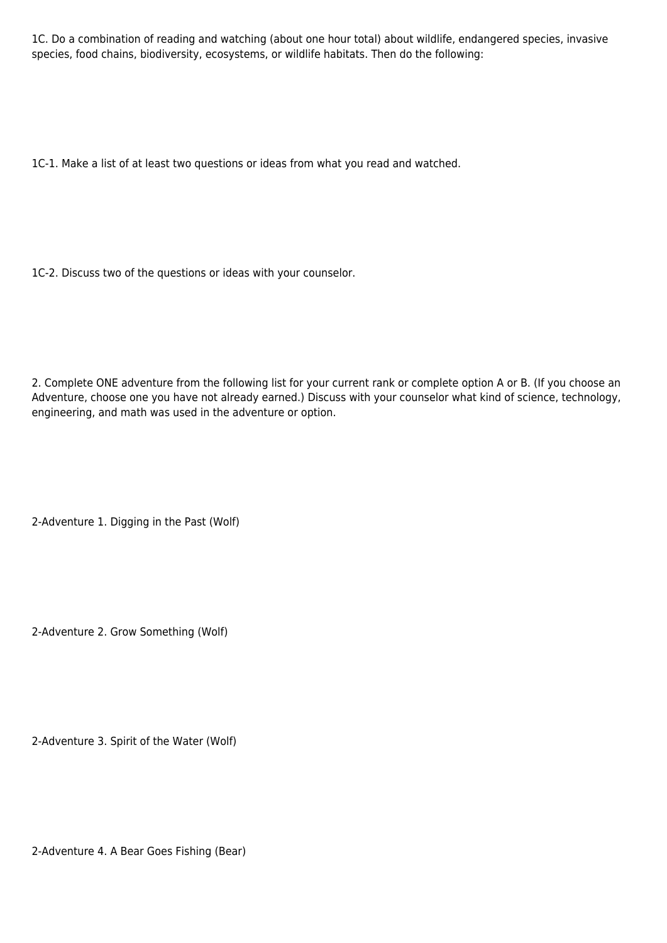1C. Do a combination of reading and watching (about one hour total) about wildlife, endangered species, invasive species, food chains, biodiversity, ecosystems, or wildlife habitats. Then do the following:

1C-1. Make a list of at least two questions or ideas from what you read and watched.

1C-2. Discuss two of the questions or ideas with your counselor.

2. Complete ONE adventure from the following list for your current rank or complete option A or B. (If you choose an Adventure, choose one you have not already earned.) Discuss with your counselor what kind of science, technology, engineering, and math was used in the adventure or option.

2-Adventure 1. Digging in the Past (Wolf)

2-Adventure 2. Grow Something (Wolf)

2-Adventure 3. Spirit of the Water (Wolf)

2-Adventure 4. A Bear Goes Fishing (Bear)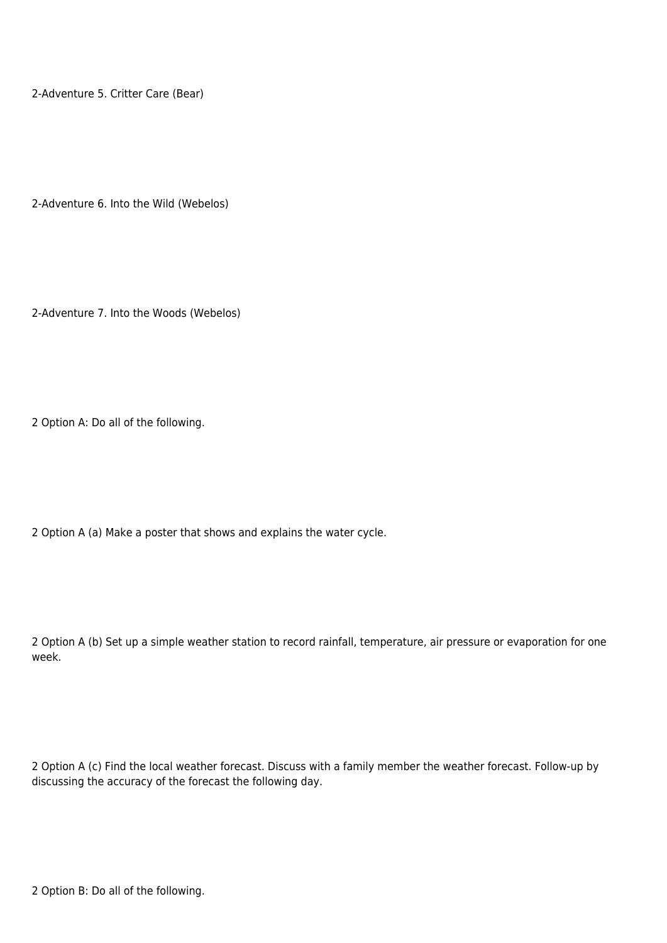2-Adventure 5. Critter Care (Bear)

2-Adventure 6. Into the Wild (Webelos)

2-Adventure 7. Into the Woods (Webelos)

2 Option A: Do all of the following.

2 Option A (a) Make a poster that shows and explains the water cycle.

2 Option A (b) Set up a simple weather station to record rainfall, temperature, air pressure or evaporation for one week.

2 Option A (c) Find the local weather forecast. Discuss with a family member the weather forecast. Follow-up by discussing the accuracy of the forecast the following day.

2 Option B: Do all of the following.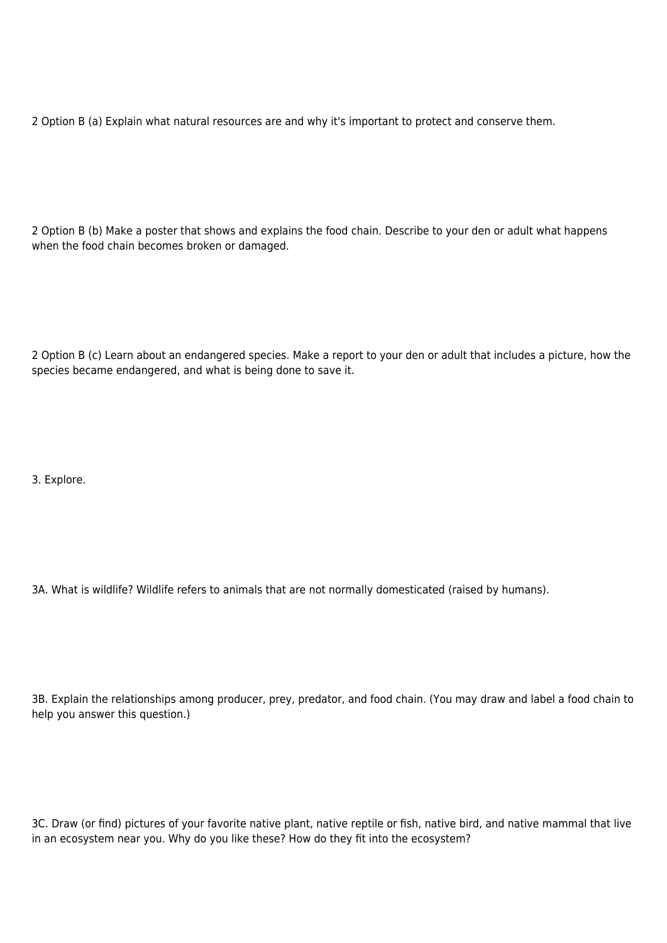2 Option B (a) Explain what natural resources are and why it's important to protect and conserve them.

2 Option B (b) Make a poster that shows and explains the food chain. Describe to your den or adult what happens when the food chain becomes broken or damaged.

2 Option B (c) Learn about an endangered species. Make a report to your den or adult that includes a picture, how the species became endangered, and what is being done to save it.

3. Explore.

3A. What is wildlife? Wildlife refers to animals that are not normally domesticated (raised by humans).

3B. Explain the relationships among producer, prey, predator, and food chain. (You may draw and label a food chain to help you answer this question.)

3C. Draw (or find) pictures of your favorite native plant, native reptile or fish, native bird, and native mammal that live in an ecosystem near you. Why do you like these? How do they fit into the ecosystem?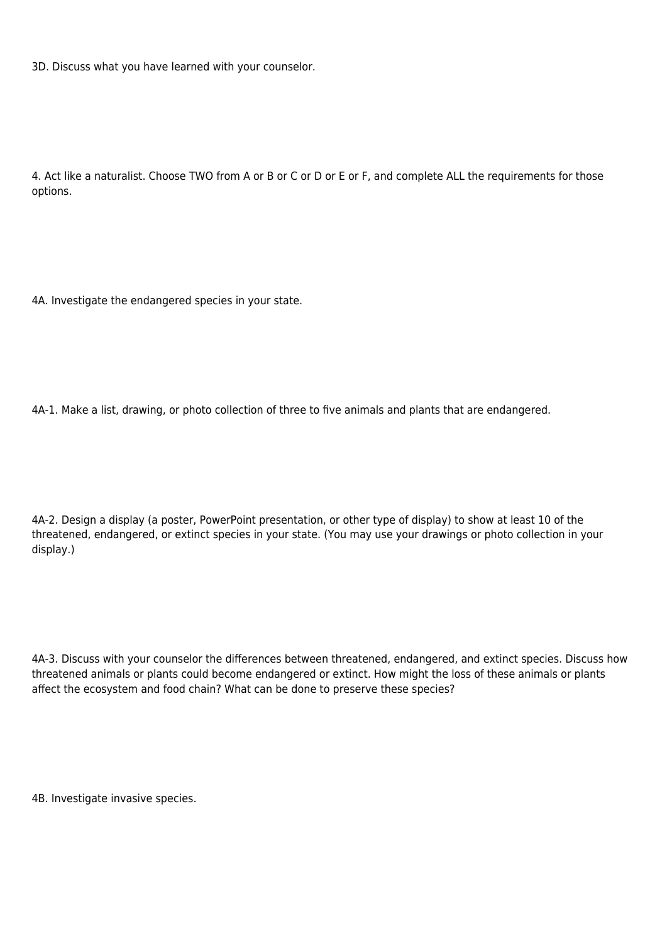3D. Discuss what you have learned with your counselor.

4. Act like a naturalist. Choose TWO from A or B or C or D or E or F, and complete ALL the requirements for those options.

4A. Investigate the endangered species in your state.

4A-1. Make a list, drawing, or photo collection of three to five animals and plants that are endangered.

4A-2. Design a display (a poster, PowerPoint presentation, or other type of display) to show at least 10 of the threatened, endangered, or extinct species in your state. (You may use your drawings or photo collection in your display.)

4A-3. Discuss with your counselor the differences between threatened, endangered, and extinct species. Discuss how threatened animals or plants could become endangered or extinct. How might the loss of these animals or plants affect the ecosystem and food chain? What can be done to preserve these species?

4B. Investigate invasive species.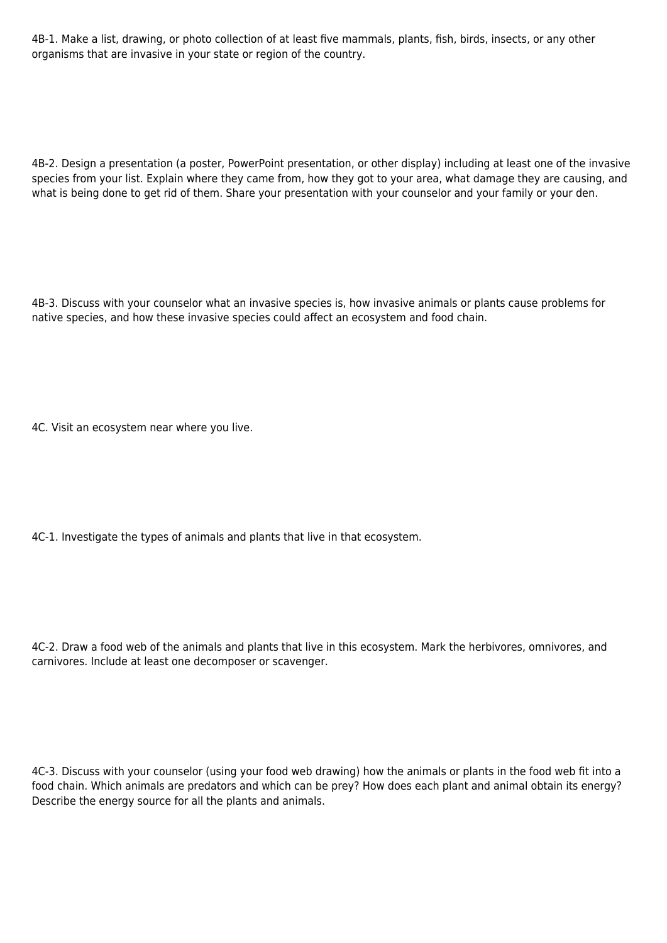4B-1. Make a list, drawing, or photo collection of at least five mammals, plants, fish, birds, insects, or any other organisms that are invasive in your state or region of the country.

4B-2. Design a presentation (a poster, PowerPoint presentation, or other display) including at least one of the invasive species from your list. Explain where they came from, how they got to your area, what damage they are causing, and what is being done to get rid of them. Share your presentation with your counselor and your family or your den.

4B-3. Discuss with your counselor what an invasive species is, how invasive animals or plants cause problems for native species, and how these invasive species could affect an ecosystem and food chain.

4C. Visit an ecosystem near where you live.

4C-1. Investigate the types of animals and plants that live in that ecosystem.

4C-2. Draw a food web of the animals and plants that live in this ecosystem. Mark the herbivores, omnivores, and carnivores. Include at least one decomposer or scavenger.

4C-3. Discuss with your counselor (using your food web drawing) how the animals or plants in the food web fit into a food chain. Which animals are predators and which can be prey? How does each plant and animal obtain its energy? Describe the energy source for all the plants and animals.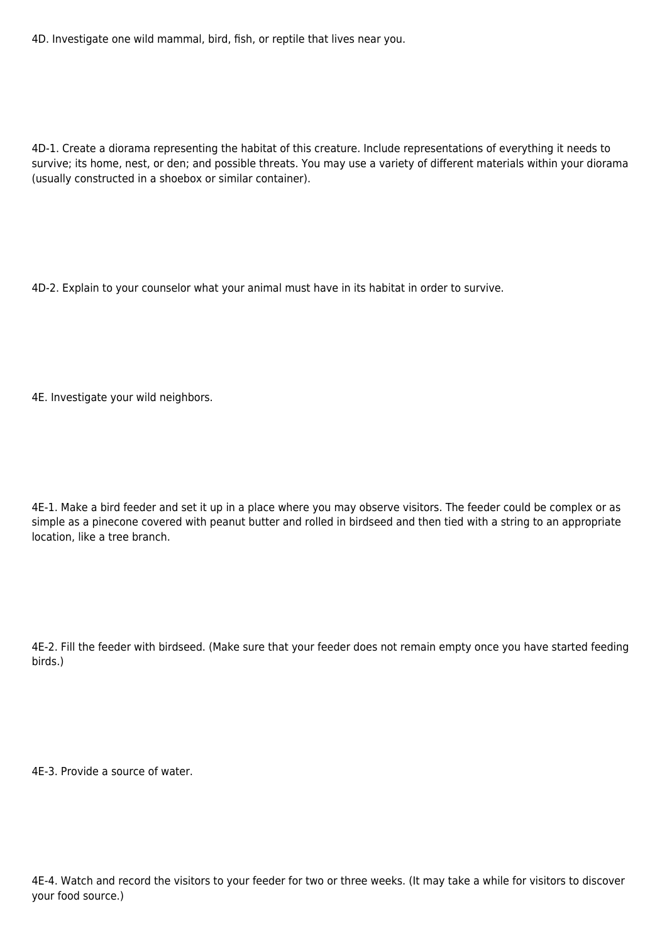4D. Investigate one wild mammal, bird, fish, or reptile that lives near you.

4D-1. Create a diorama representing the habitat of this creature. Include representations of everything it needs to survive; its home, nest, or den; and possible threats. You may use a variety of different materials within your diorama (usually constructed in a shoebox or similar container).

4D-2. Explain to your counselor what your animal must have in its habitat in order to survive.

4E. Investigate your wild neighbors.

4E-1. Make a bird feeder and set it up in a place where you may observe visitors. The feeder could be complex or as simple as a pinecone covered with peanut butter and rolled in birdseed and then tied with a string to an appropriate location, like a tree branch.

4E-2. Fill the feeder with birdseed. (Make sure that your feeder does not remain empty once you have started feeding birds.)

4E-3. Provide a source of water.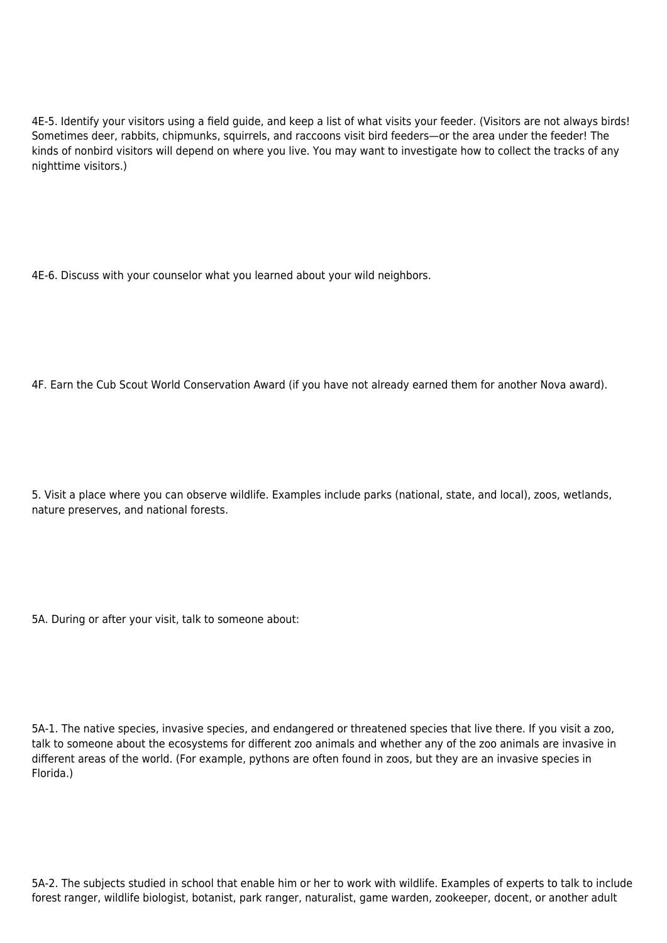4E-5. Identify your visitors using a field guide, and keep a list of what visits your feeder. (Visitors are not always birds! Sometimes deer, rabbits, chipmunks, squirrels, and raccoons visit bird feeders—or the area under the feeder! The kinds of nonbird visitors will depend on where you live. You may want to investigate how to collect the tracks of any nighttime visitors.)

4E-6. Discuss with your counselor what you learned about your wild neighbors.

4F. Earn the Cub Scout World Conservation Award (if you have not already earned them for another Nova award).

5. Visit a place where you can observe wildlife. Examples include parks (national, state, and local), zoos, wetlands, nature preserves, and national forests.

5A. During or after your visit, talk to someone about:

5A-1. The native species, invasive species, and endangered or threatened species that live there. If you visit a zoo, talk to someone about the ecosystems for different zoo animals and whether any of the zoo animals are invasive in different areas of the world. (For example, pythons are often found in zoos, but they are an invasive species in Florida.)

5A-2. The subjects studied in school that enable him or her to work with wildlife. Examples of experts to talk to include forest ranger, wildlife biologist, botanist, park ranger, naturalist, game warden, zookeeper, docent, or another adult